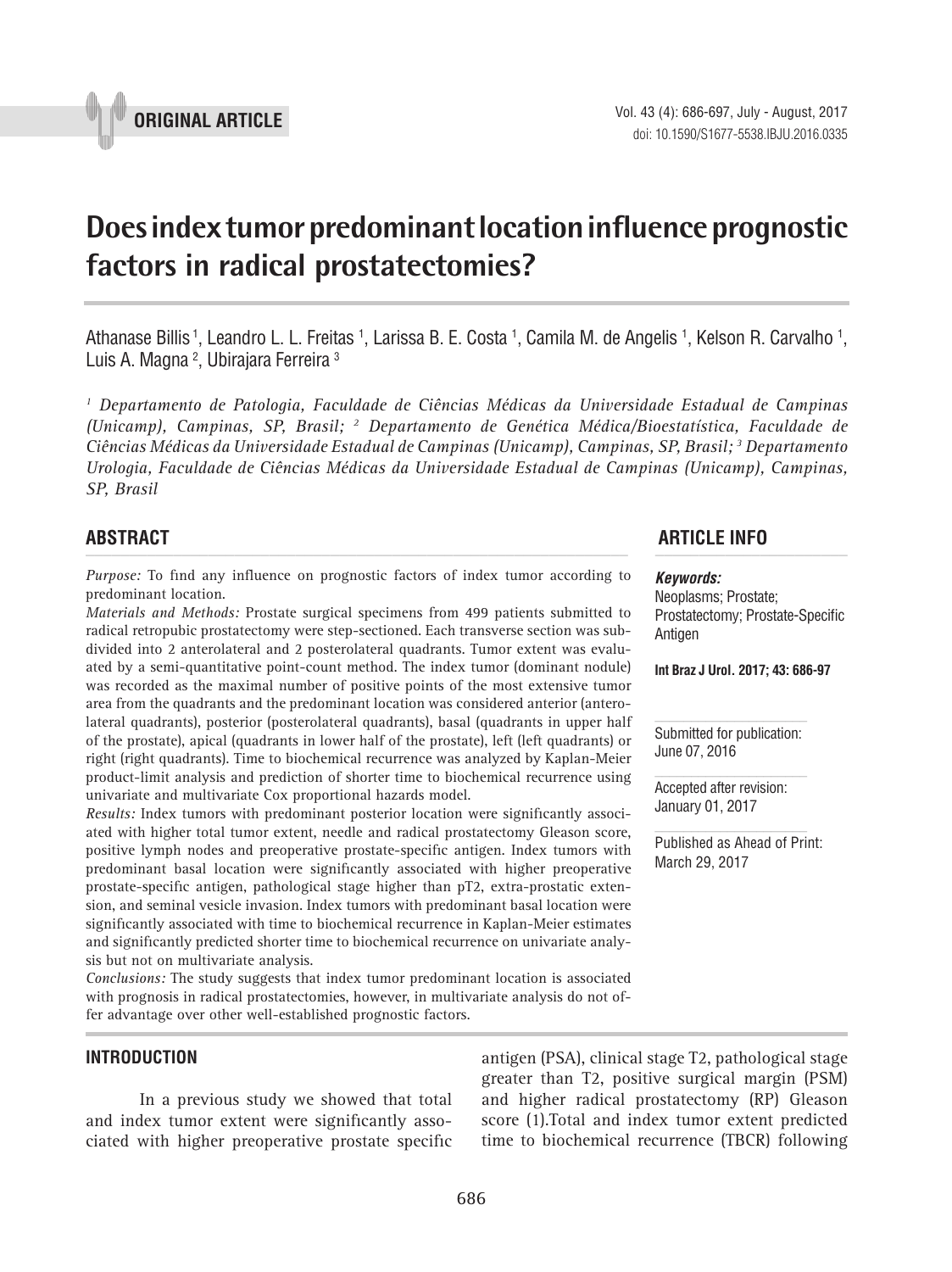

# **Does index tumor predominant location influence prognostic factors in radical prostatectomies? \_\_\_\_\_\_\_\_\_\_\_\_\_\_\_\_\_\_\_\_\_\_\_\_\_\_\_\_\_\_\_\_\_\_\_\_\_\_\_\_\_\_\_\_\_\_\_**

Athanase Billis <sup>1</sup>, Leandro L. L. Freitas <sup>1</sup>, Larissa B. E. Costa <sup>1</sup>, Camila M. de Angelis <sup>1</sup>, Kelson R. Carvalho <sup>1</sup>, Luis A. Magna <del>?</del>, Ubirajara Ferreira <sup>3</sup>

*1 Departamento de Patologia, Faculdade de Ciências Médicas da Universidade Estadual de Campinas (Unicamp), Campinas, SP, Brasil; 2 Departamento de Genética Médica/Bioestatística, Faculdade de Ciências Médicas da Universidade Estadual de Campinas (Unicamp), Campinas, SP, Brasil; 3 Departamento Urologia, Faculdade de Ciências Médicas da Universidade Estadual de Campinas (Unicamp), Campinas, SP, Brasil*

*Purpose:* To find any influence on prognostic factors of index tumor according to predominant location.

*Materials and Methods:* Prostate surgical specimens from 499 patients submitted to radical retropubic prostatectomy were step-sectioned. Each transverse section was subdivided into 2 anterolateral and 2 posterolateral quadrants. Tumor extent was evaluated by a semi-quantitative point-count method. The index tumor (dominant nodule) was recorded as the maximal number of positive points of the most extensive tumor area from the quadrants and the predominant location was considered anterior (anterolateral quadrants), posterior (posterolateral quadrants), basal (quadrants in upper half of the prostate), apical (quadrants in lower half of the prostate), left (left quadrants) or right (right quadrants). Time to biochemical recurrence was analyzed by Kaplan-Meier product-limit analysis and prediction of shorter time to biochemical recurrence using univariate and multivariate Cox proportional hazards model.

*Results:* Index tumors with predominant posterior location were significantly associated with higher total tumor extent, needle and radical prostatectomy Gleason score, positive lymph nodes and preoperative prostate-specific antigen. Index tumors with predominant basal location were significantly associated with higher preoperative prostate-specific antigen, pathological stage higher than pT2, extra-prostatic extension, and seminal vesicle invasion. Index tumors with predominant basal location were significantly associated with time to biochemical recurrence in Kaplan-Meier estimates and significantly predicted shorter time to biochemical recurrence on univariate analysis but not on multivariate analysis.

*Conclusions:* The study suggests that index tumor predominant location is associated with prognosis in radical prostatectomies, however, in multivariate analysis do not offer advantage over other well-established prognostic factors.

#### **INTRODUCTION**

In a previous study we showed that total and index tumor extent were significantly associated with higher preoperative prostate specific antigen (PSA), clinical stage T2, pathological stage greater than T2, positive surgical margin (PSM) and higher radical prostatectomy (RP) Gleason score (1).Total and index tumor extent predicted time to biochemical recurrence (TBCR) following

**ABSTRACT ARTICLE INFO** *\_\_\_\_\_\_\_\_\_\_\_\_\_\_\_\_\_\_\_\_\_\_\_\_\_\_\_\_\_\_\_\_\_\_\_\_\_\_\_\_\_\_\_\_\_\_\_\_\_\_\_\_\_\_\_\_\_\_\_\_\_\_ \_\_\_\_\_\_\_\_\_\_\_\_\_\_\_\_\_\_\_\_\_\_*

## *Keywords:*

Neoplasms; Prostate; Prostatectomy; Prostate-Specific **Antigen** 

**Int Braz J Urol. 2017; 43: 686-97**

Submitted for publication: June 07, 2016

Accepted after revision: January 01, 2017

Published as Ahead of Print: March 29, 2017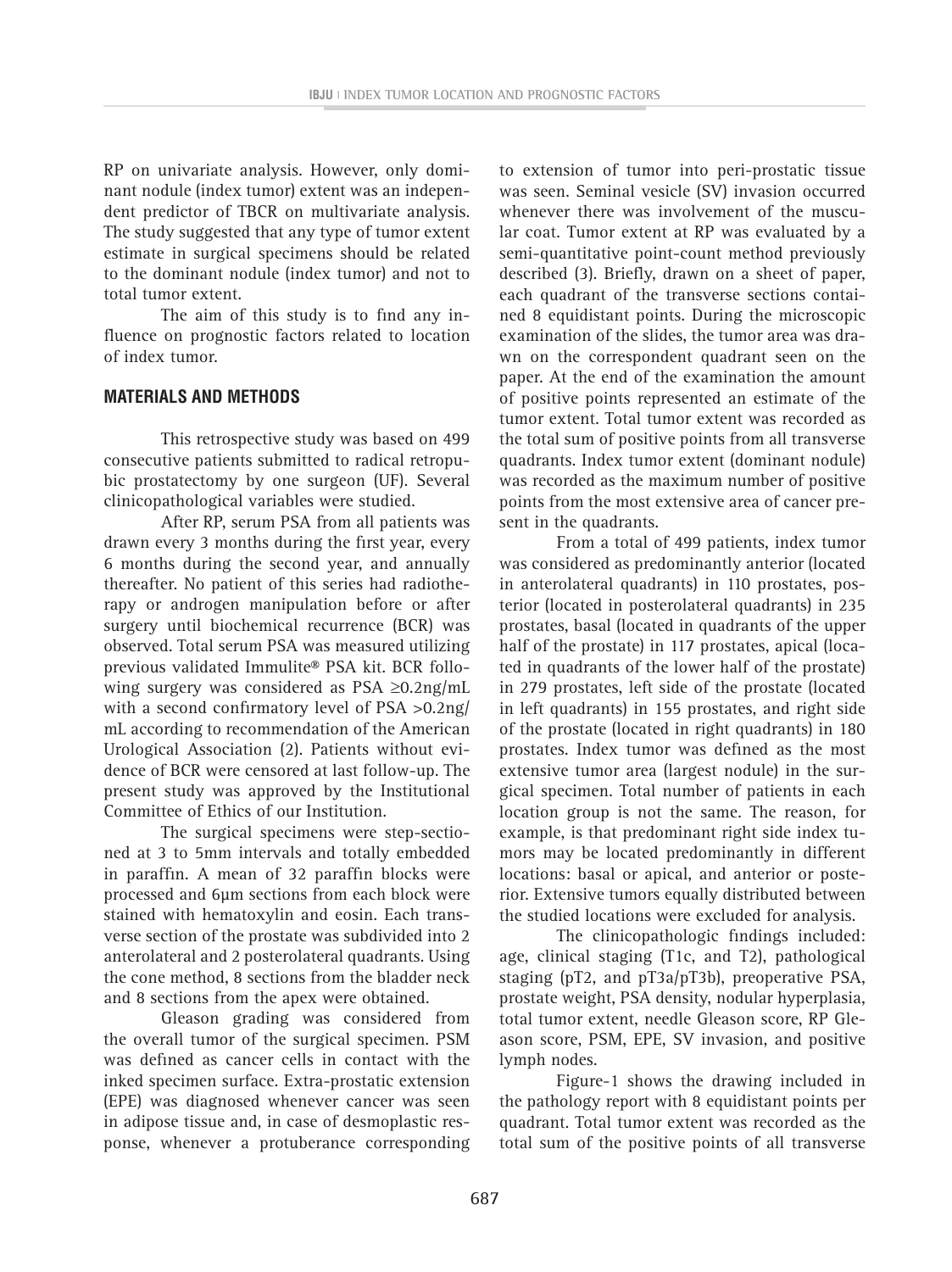RP on univariate analysis. However, only dominant nodule (index tumor) extent was an independent predictor of TBCR on multivariate analysis. The study suggested that any type of tumor extent estimate in surgical specimens should be related to the dominant nodule (index tumor) and not to total tumor extent.

The aim of this study is to find any influence on prognostic factors related to location of index tumor.

## **MATERIALS AND METHODS**

This retrospective study was based on 499 consecutive patients submitted to radical retropubic prostatectomy by one surgeon (UF). Several clinicopathological variables were studied.

After RP, serum PSA from all patients was drawn every 3 months during the first year, every 6 months during the second year, and annually thereafter. No patient of this series had radiotherapy or androgen manipulation before or after surgery until biochemical recurrence (BCR) was observed. Total serum PSA was measured utilizing previous validated Immulite® PSA kit. BCR following surgery was considered as PSA ≥0.2ng/mL with a second confirmatory level of PSA >0.2ng/ mL according to recommendation of the American Urological Association (2). Patients without evidence of BCR were censored at last follow-up. The present study was approved by the Institutional Committee of Ethics of our Institution.

The surgical specimens were step-sectioned at 3 to 5mm intervals and totally embedded in paraffin. A mean of 32 paraffin blocks were processed and 6µm sections from each block were stained with hematoxylin and eosin. Each transverse section of the prostate was subdivided into 2 anterolateral and 2 posterolateral quadrants. Using the cone method, 8 sections from the bladder neck and 8 sections from the apex were obtained.

Gleason grading was considered from the overall tumor of the surgical specimen. PSM was defined as cancer cells in contact with the inked specimen surface. Extra-prostatic extension (EPE) was diagnosed whenever cancer was seen in adipose tissue and, in case of desmoplastic response, whenever a protuberance corresponding

to extension of tumor into peri-prostatic tissue was seen. Seminal vesicle (SV) invasion occurred whenever there was involvement of the muscular coat. Tumor extent at RP was evaluated by a semi-quantitative point-count method previously described (3). Briefly, drawn on a sheet of paper, each quadrant of the transverse sections contained 8 equidistant points. During the microscopic examination of the slides, the tumor area was drawn on the correspondent quadrant seen on the paper. At the end of the examination the amount of positive points represented an estimate of the tumor extent. Total tumor extent was recorded as the total sum of positive points from all transverse quadrants. Index tumor extent (dominant nodule) was recorded as the maximum number of positive points from the most extensive area of cancer present in the quadrants.

From a total of 499 patients, index tumor was considered as predominantly anterior (located in anterolateral quadrants) in 110 prostates, posterior (located in posterolateral quadrants) in 235 prostates, basal (located in quadrants of the upper half of the prostate) in 117 prostates, apical (located in quadrants of the lower half of the prostate) in 279 prostates, left side of the prostate (located in left quadrants) in 155 prostates, and right side of the prostate (located in right quadrants) in 180 prostates. Index tumor was defined as the most extensive tumor area (largest nodule) in the surgical specimen. Total number of patients in each location group is not the same. The reason, for example, is that predominant right side index tumors may be located predominantly in different locations: basal or apical, and anterior or posterior. Extensive tumors equally distributed between the studied locations were excluded for analysis.

The clinicopathologic findings included: age, clinical staging (T1c, and T2), pathological staging (pT2, and pT3a/pT3b), preoperative PSA, prostate weight, PSA density, nodular hyperplasia, total tumor extent, needle Gleason score, RP Gleason score, PSM, EPE, SV invasion, and positive lymph nodes.

Figure-1 shows the drawing included in the pathology report with 8 equidistant points per quadrant. Total tumor extent was recorded as the total sum of the positive points of all transverse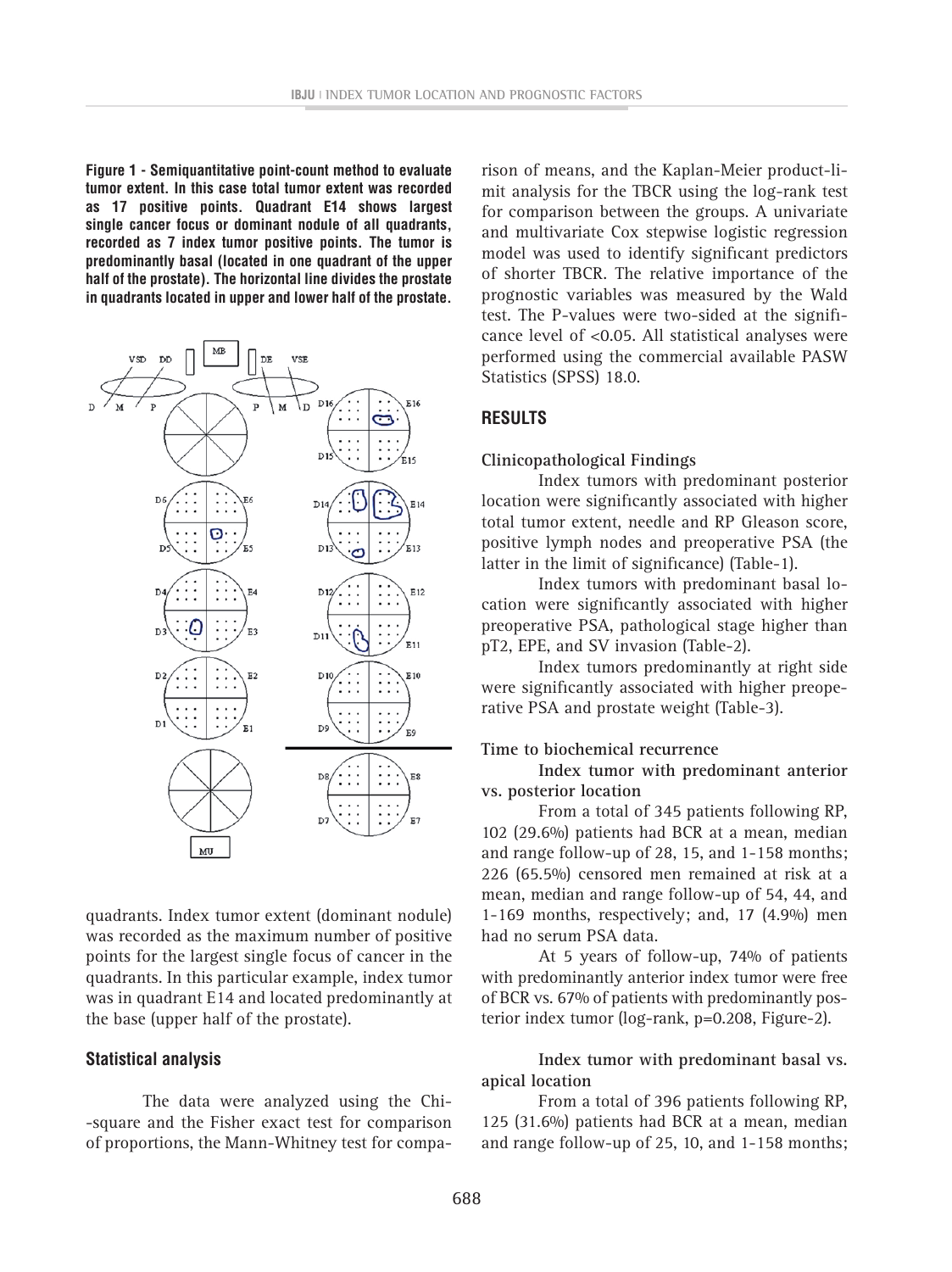**Figure 1 - Semiquantitative point-count method to evaluate tumor extent. In this case total tumor extent was recorded as 17 positive points. Quadrant E14 shows largest single cancer focus or dominant nodule of all quadrants, recorded as 7 index tumor positive points. The tumor is predominantly basal (located in one quadrant of the upper half of the prostate). The horizontal line divides the prostate in quadrants located in upper and lower half of the prostate.**



quadrants. Index tumor extent (dominant nodule) was recorded as the maximum number of positive points for the largest single focus of cancer in the quadrants. In this particular example, index tumor was in quadrant E14 and located predominantly at the base (upper half of the prostate).

#### **Statistical analysis**

The data were analyzed using the Chi- -square and the Fisher exact test for comparison of proportions, the Mann-Whitney test for comparison of means, and the Kaplan-Meier product-limit analysis for the TBCR using the log-rank test for comparison between the groups. A univariate and multivariate Cox stepwise logistic regression model was used to identify significant predictors of shorter TBCR. The relative importance of the prognostic variables was measured by the Wald test. The P-values were two-sided at the significance level of <0.05. All statistical analyses were performed using the commercial available PASW Statistics (SPSS) 18.0.

## **RESULTS**

#### **Clinicopathological Findings**

Index tumors with predominant posterior location were significantly associated with higher total tumor extent, needle and RP Gleason score, positive lymph nodes and preoperative PSA (the latter in the limit of significance) (Table-1).

Index tumors with predominant basal location were significantly associated with higher preoperative PSA, pathological stage higher than pT2, EPE, and SV invasion (Table-2).

Index tumors predominantly at right side were significantly associated with higher preoperative PSA and prostate weight (Table-3).

#### **Time to biochemical recurrence**

**Index tumor with predominant anterior vs. posterior location**

From a total of 345 patients following RP, 102 (29.6%) patients had BCR at a mean, median and range follow-up of 28, 15, and 1-158 months; 226 (65.5%) censored men remained at risk at a mean, median and range follow-up of 54, 44, and 1-169 months, respectively; and, 17 (4.9%) men had no serum PSA data.

At 5 years of follow-up, 74% of patients with predominantly anterior index tumor were free of BCR vs. 67% of patients with predominantly posterior index tumor (log-rank, p=0.208, Figure-2).

#### **Index tumor with predominant basal vs. apical location**

From a total of 396 patients following RP, 125 (31.6%) patients had BCR at a mean, median and range follow-up of 25, 10, and 1-158 months;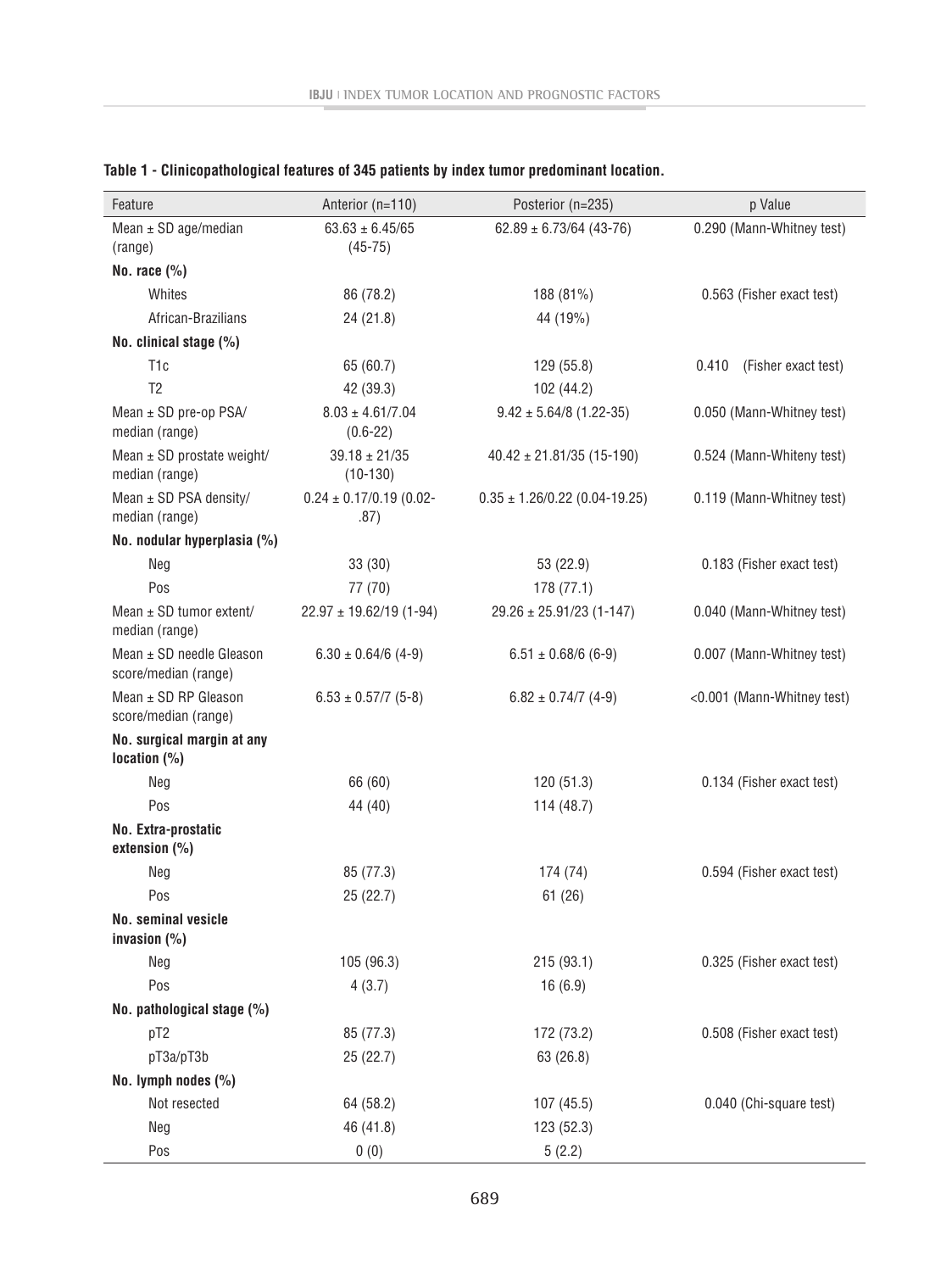| Feature                                          | Anterior (n=110)                     | Posterior (n=235)                 | p Value                      |
|--------------------------------------------------|--------------------------------------|-----------------------------------|------------------------------|
| Mean $\pm$ SD age/median                         | $63.63 \pm 6.45/65$                  | $62.89 \pm 6.73/64$ (43-76)       | 0.290 (Mann-Whitney test)    |
| (range)                                          | $(45 - 75)$                          |                                   |                              |
| No. race $(\% )$                                 |                                      |                                   |                              |
| Whites                                           | 86 (78.2)                            | 188 (81%)                         | 0.563 (Fisher exact test)    |
| African-Brazilians                               | 24 (21.8)                            | 44 (19%)                          |                              |
| No. clinical stage (%)                           |                                      |                                   |                              |
| T <sub>1</sub> c                                 | 65 (60.7)                            | 129 (55.8)                        | 0.410<br>(Fisher exact test) |
| T <sub>2</sub>                                   | 42 (39.3)                            | 102(44.2)                         |                              |
| Mean $\pm$ SD pre-op PSA/<br>median (range)      | $8.03 \pm 4.61/7.04$<br>$(0.6 - 22)$ | $9.42 \pm 5.64/8$ (1.22-35)       | 0.050 (Mann-Whitney test)    |
| Mean $\pm$ SD prostate weight/<br>median (range) | $39.18 \pm 21/35$<br>$(10-130)$      | $40.42 \pm 21.81/35$ (15-190)     | 0.524 (Mann-Whiteny test)    |
| Mean $\pm$ SD PSA density/<br>median (range)     | $0.24 \pm 0.17/0.19$ (0.02-<br>.87)  | $0.35 \pm 1.26/0.22$ (0.04-19.25) | 0.119 (Mann-Whitney test)    |
| No. nodular hyperplasia (%)                      |                                      |                                   |                              |
| Neg                                              | 33(30)                               | 53 (22.9)                         | 0.183 (Fisher exact test)    |
| Pos                                              | 77 (70)                              | 178(77.1)                         |                              |
| Mean $\pm$ SD tumor extent/<br>median (range)    | $22.97 \pm 19.62/19$ (1-94)          | $29.26 \pm 25.91/23$ (1-147)      | 0.040 (Mann-Whitney test)    |
| Mean ± SD needle Gleason<br>score/median (range) | $6.30 \pm 0.64/6$ (4-9)              | $6.51 \pm 0.68/6$ (6-9)           | 0.007 (Mann-Whitney test)    |
| Mean ± SD RP Gleason<br>score/median (range)     | $6.53 \pm 0.57/7$ (5-8)              | $6.82 \pm 0.74/7$ (4-9)           | <0.001 (Mann-Whitney test)   |
| No. surgical margin at any<br>location $(\%)$    |                                      |                                   |                              |
| Neg                                              | 66 (60)                              | 120(51.3)                         | 0.134 (Fisher exact test)    |
| Pos                                              | 44 (40)                              | 114(48.7)                         |                              |
| No. Extra-prostatic<br>extension $(\% )$         |                                      |                                   |                              |
| Neg                                              | 85 (77.3)                            | 174 (74)                          | 0.594 (Fisher exact test)    |
| Pos                                              | 25 (22.7)                            | 61(26)                            |                              |
| <b>No. seminal vesicle</b><br>invasion $(\% )$   |                                      |                                   |                              |
| Neg                                              | 105 (96.3)                           | 215(93.1)                         | 0.325 (Fisher exact test)    |
| Pos                                              | 4(3.7)                               | 16(6.9)                           |                              |
| No. pathological stage (%)                       |                                      |                                   |                              |
| pT <sub>2</sub>                                  | 85 (77.3)                            | 172 (73.2)                        | 0.508 (Fisher exact test)    |
| pT3a/pT3b                                        | 25(22.7)                             | 63 (26.8)                         |                              |
| No. lymph nodes (%)                              |                                      |                                   |                              |
| Not resected                                     | 64 (58.2)                            | 107(45.5)                         | 0.040 (Chi-square test)      |
| Neg                                              | 46 (41.8)                            | 123 (52.3)                        |                              |
| Pos                                              | 0(0)                                 | 5(2.2)                            |                              |

## **Table 1 - Clinicopathological features of 345 patients by index tumor predominant location.**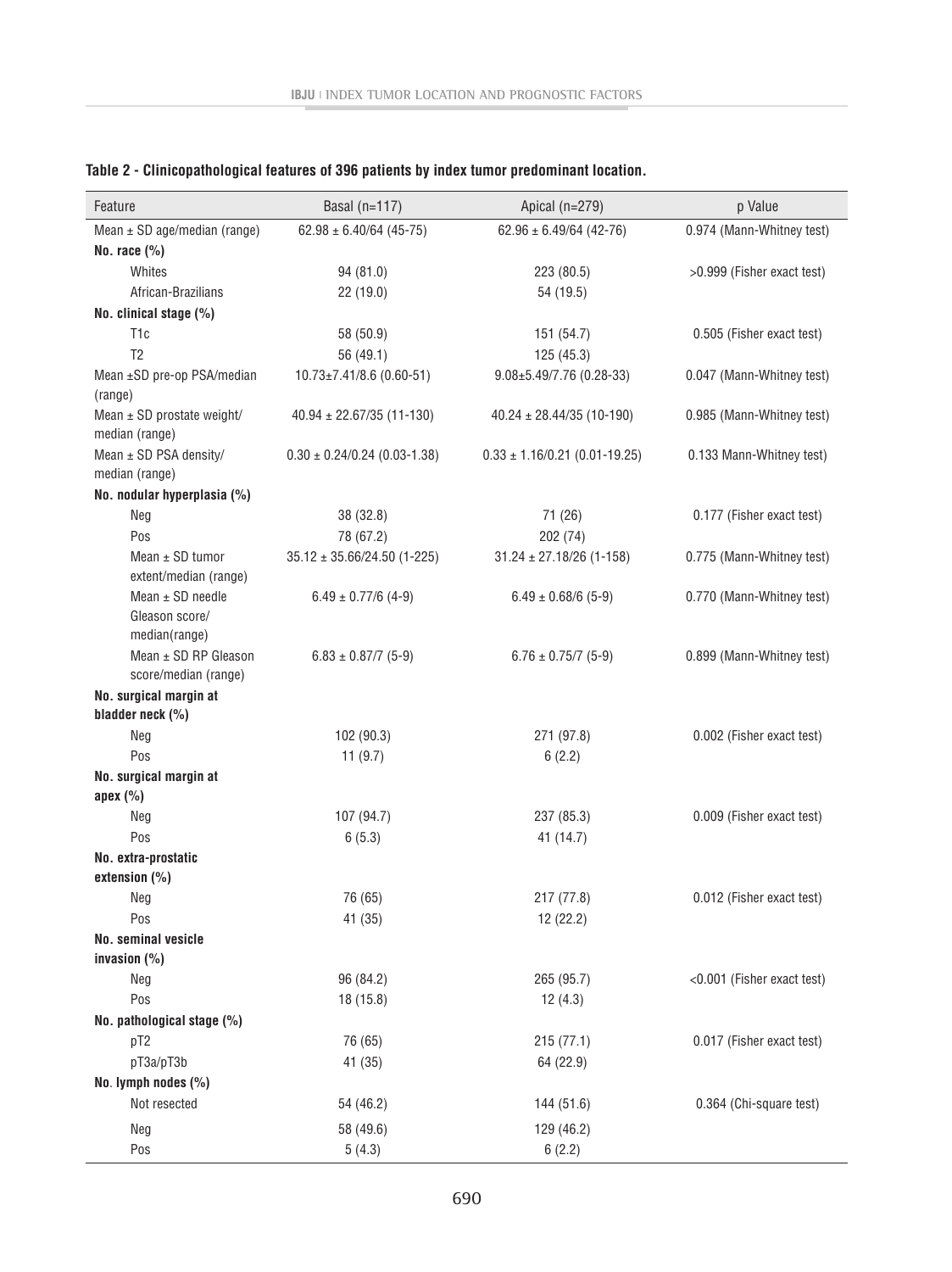| Feature                                                 | Basal $(n=117)$                  | Apical (n=279)                    | p Value                    |
|---------------------------------------------------------|----------------------------------|-----------------------------------|----------------------------|
| Mean $\pm$ SD age/median (range)                        | $62.98 \pm 6.40/64$ (45-75)      | $62.96 \pm 6.49/64$ (42-76)       | 0.974 (Mann-Whitney test)  |
| No. race $(\%)$                                         |                                  |                                   |                            |
| Whites                                                  | 94 (81.0)                        | 223 (80.5)                        | >0.999 (Fisher exact test) |
| African-Brazilians                                      | 22 (19.0)                        | 54 (19.5)                         |                            |
| No. clinical stage (%)                                  |                                  |                                   |                            |
| T <sub>1</sub> c                                        | 58 (50.9)                        | 151 (54.7)                        | 0.505 (Fisher exact test)  |
| T <sub>2</sub>                                          | 56 (49.1)                        | 125(45.3)                         |                            |
| Mean ±SD pre-op PSA/median                              | $10.73 \pm 7.41/8.6$ (0.60-51)   | $9.08 \pm 5.49$ /7.76 (0.28-33)   | 0.047 (Mann-Whitney test)  |
| (range)<br>Mean $\pm$ SD prostate weight/               | $40.94 \pm 22.67/35$ (11-130)    | $40.24 \pm 28.44/35$ (10-190)     | 0.985 (Mann-Whitney test)  |
| median (range)                                          |                                  |                                   |                            |
| Mean $\pm$ SD PSA density/                              | $0.30 \pm 0.24/0.24$ (0.03-1.38) | $0.33 \pm 1.16/0.21$ (0.01-19.25) | 0.133 Mann-Whitney test)   |
| median (range)                                          |                                  |                                   |                            |
| No. nodular hyperplasia (%)                             |                                  |                                   |                            |
| Neg                                                     | 38 (32.8)                        | 71 (26)                           | 0.177 (Fisher exact test)  |
| Pos                                                     | 78 (67.2)                        | 202 (74)                          |                            |
| Mean $\pm$ SD tumor<br>extent/median (range)            | $35.12 \pm 35.66/24.50$ (1-225)  | $31.24 \pm 27.18/26$ (1-158)      | 0.775 (Mann-Whitney test)  |
| Mean $\pm$ SD needle<br>Gleason score/<br>median(range) | $6.49 \pm 0.77/6$ (4-9)          | $6.49 \pm 0.68/6$ (5-9)           | 0.770 (Mann-Whitney test)  |
| Mean ± SD RP Gleason<br>score/median (range)            | $6.83 \pm 0.87/7$ (5-9)          | $6.76 \pm 0.75/7$ (5-9)           | 0.899 (Mann-Whitney test)  |
| No. surgical margin at<br>bladder neck (%)              |                                  |                                   |                            |
| Neg                                                     | 102 (90.3)                       | 271 (97.8)                        | 0.002 (Fisher exact test)  |
| Pos                                                     | 11 $(9.7)$                       | 6(2.2)                            |                            |
| No. surgical margin at                                  |                                  |                                   |                            |
| apex $(\%)$                                             |                                  |                                   |                            |
| Neg                                                     | 107 (94.7)                       | 237 (85.3)                        | 0.009 (Fisher exact test)  |
| Pos                                                     | 6(5.3)                           | 41 (14.7)                         |                            |
| No. extra-prostatic<br>extension $(\% )$                |                                  |                                   |                            |
| Neg                                                     | 76 (65)                          | 217 (77.8)                        | 0.012 (Fisher exact test)  |
| Pos                                                     | 41 (35)                          | 12 (22.2)                         |                            |
| No. seminal vesicle                                     |                                  |                                   |                            |
| invasion $(\%)$                                         |                                  |                                   |                            |
| Neg                                                     | 96 (84.2)                        | 265 (95.7)                        | <0.001 (Fisher exact test) |
| Pos                                                     | 18(15.8)                         | 12(4.3)                           |                            |
| No. pathological stage (%)                              |                                  |                                   |                            |
| pT2                                                     | 76 (65)                          | 215(77.1)                         | 0.017 (Fisher exact test)  |
| pT3a/pT3b                                               | 41 (35)                          | 64 (22.9)                         |                            |
| No. lymph nodes (%)                                     |                                  |                                   |                            |
| Not resected                                            | 54 (46.2)                        | 144 (51.6)                        | 0.364 (Chi-square test)    |
| Neg                                                     | 58 (49.6)                        | 129 (46.2)                        |                            |
| Pos                                                     | 5(4.3)                           | 6(2.2)                            |                            |

## **Table 2 - Clinicopathological features of 396 patients by index tumor predominant location.**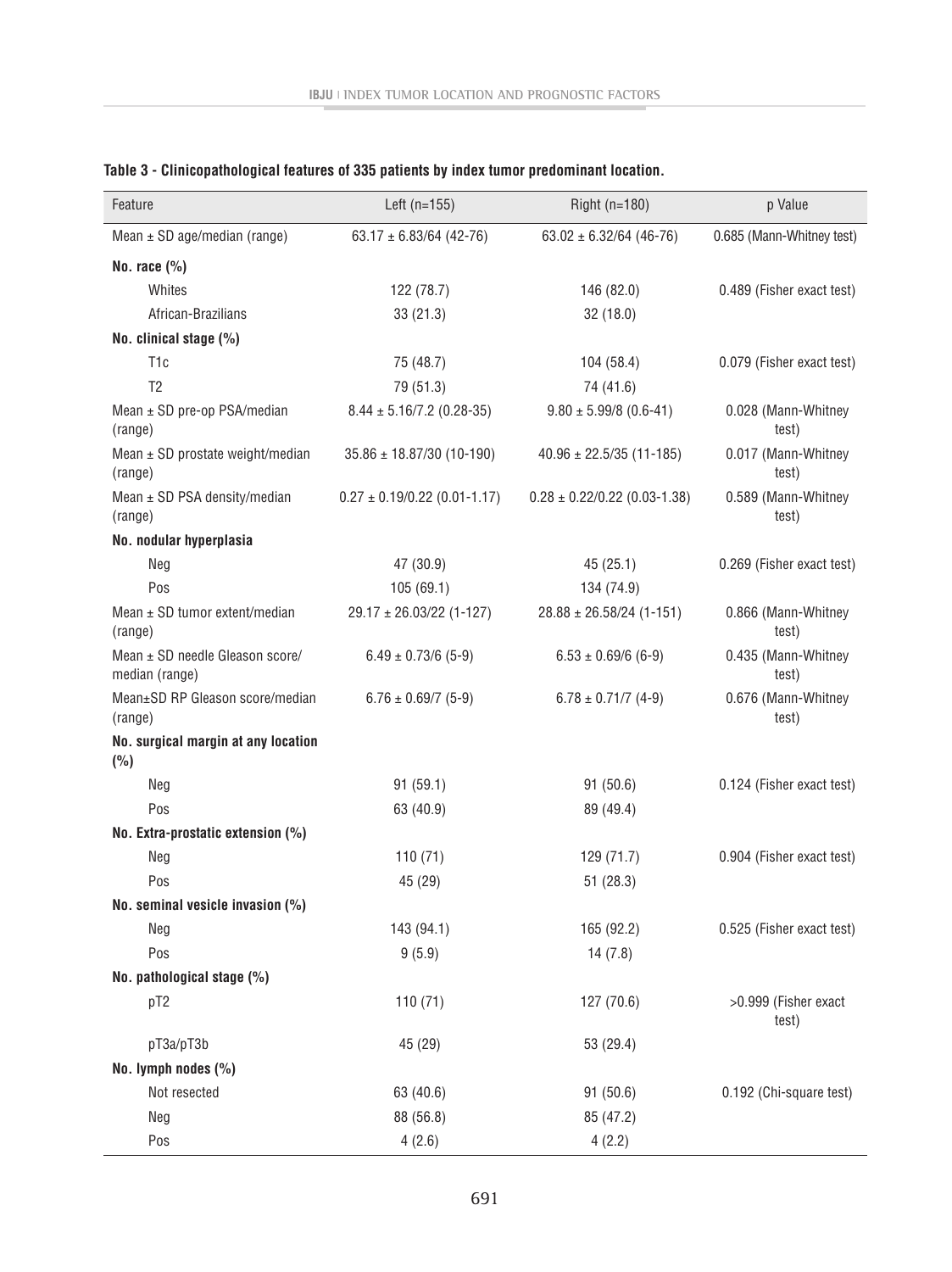| Feature                                           | Left $(n=155)$                   | Right (n=180)                    | p Value                       |
|---------------------------------------------------|----------------------------------|----------------------------------|-------------------------------|
| Mean $\pm$ SD age/median (range)                  | $63.17 \pm 6.83/64$ (42-76)      | $63.02 \pm 6.32/64$ (46-76)      | 0.685 (Mann-Whitney test)     |
| No. race $(\% )$                                  |                                  |                                  |                               |
| Whites                                            | 122 (78.7)                       | 146 (82.0)                       | 0.489 (Fisher exact test)     |
| African-Brazilians                                | 33(21.3)                         | 32 (18.0)                        |                               |
| No. clinical stage (%)                            |                                  |                                  |                               |
| T <sub>1</sub> c                                  | 75 (48.7)                        | 104 (58.4)                       | 0.079 (Fisher exact test)     |
| T <sub>2</sub>                                    | 79 (51.3)                        | 74 (41.6)                        |                               |
| Mean ± SD pre-op PSA/median<br>(range)            | $8.44 \pm 5.16/7.2$ (0.28-35)    | $9.80 \pm 5.99/8$ (0.6-41)       | 0.028 (Mann-Whitney<br>test)  |
| Mean ± SD prostate weight/median<br>(range)       | $35.86 \pm 18.87/30$ (10-190)    | $40.96 \pm 22.5/35$ (11-185)     | 0.017 (Mann-Whitney<br>test)  |
| Mean $\pm$ SD PSA density/median<br>(range)       | $0.27 \pm 0.19/0.22$ (0.01-1.17) | $0.28 \pm 0.22/0.22$ (0.03-1.38) | 0.589 (Mann-Whitney<br>test)  |
| No. nodular hyperplasia                           |                                  |                                  |                               |
| Neg                                               | 47 (30.9)                        | 45(25.1)                         | 0.269 (Fisher exact test)     |
| Pos                                               | 105(69.1)                        | 134 (74.9)                       |                               |
| Mean ± SD tumor extent/median<br>(range)          | $29.17 \pm 26.03/22$ (1-127)     | $28.88 \pm 26.58/24$ (1-151)     | 0.866 (Mann-Whitney<br>test)  |
| Mean ± SD needle Gleason score/<br>median (range) | $6.49 \pm 0.73/6$ (5-9)          | $6.53 \pm 0.69/6$ (6-9)          | 0.435 (Mann-Whitney<br>test)  |
| Mean±SD RP Gleason score/median<br>(range)        | $6.76 \pm 0.69/7$ (5-9)          | $6.78 \pm 0.71/7$ (4-9)          | 0.676 (Mann-Whitney<br>test)  |
| No. surgical margin at any location<br>(%)        |                                  |                                  |                               |
| Neg                                               | 91(59.1)                         | 91(50.6)                         | 0.124 (Fisher exact test)     |
| Pos                                               | 63 (40.9)                        | 89 (49.4)                        |                               |
| No. Extra-prostatic extension (%)                 |                                  |                                  |                               |
| Neg                                               | 110(71)                          | 129 (71.7)                       | 0.904 (Fisher exact test)     |
| Pos                                               | 45 (29)                          | 51(28.3)                         |                               |
| No. seminal vesicle invasion (%)                  |                                  |                                  |                               |
| Neg                                               | 143 (94.1)                       | 165 (92.2)                       | 0.525 (Fisher exact test)     |
| Pos                                               | 9(5.9)                           | 14(7.8)                          |                               |
| No. pathological stage (%)                        |                                  |                                  |                               |
| pT2                                               | 110(71)                          | 127 (70.6)                       | >0.999 (Fisher exact<br>test) |
| pT3a/pT3b                                         | 45 (29)                          | 53 (29.4)                        |                               |
| No. lymph nodes (%)                               |                                  |                                  |                               |
| Not resected                                      | 63 (40.6)                        | 91(50.6)                         | 0.192 (Chi-square test)       |
| Neg                                               | 88 (56.8)                        | 85 (47.2)                        |                               |
| Pos                                               | 4(2.6)                           | 4(2.2)                           |                               |

## **Table 3 - Clinicopathological features of 335 patients by index tumor predominant location.**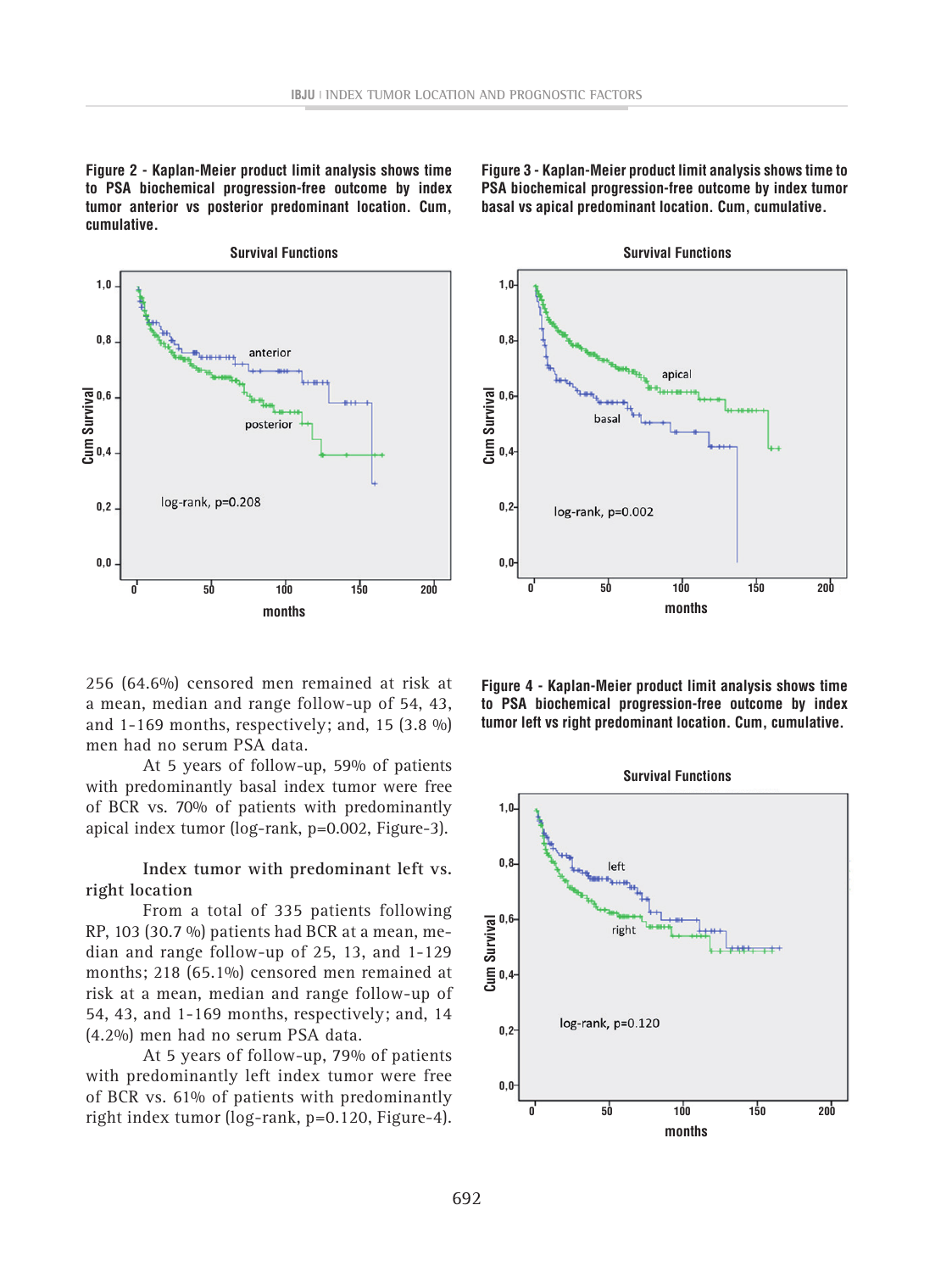**Figure 2 - Kaplan-Meier product limit analysis shows time to PSA biochemical progression-free outcome by index tumor anterior vs posterior predominant location. Cum, cumulative.**



**Figure 3 - Kaplan-Meier product limit analysis shows time to PSA biochemical progression-free outcome by index tumor basal vs apical predominant location. Cum, cumulative.**



256 (64.6%) censored men remained at risk at a mean, median and range follow-up of 54, 43, and 1-169 months, respectively; and, 15  $(3.8 \%)$ men had no serum PSA data.

At 5 years of follow-up, 59% of patients with predominantly basal index tumor were free of BCR vs. 70% of patients with predominantly apical index tumor (log-rank, p=0.002, Figure-3).

## **Index tumor with predominant left vs. right location**

From a total of 335 patients following RP, 103 (30.7 %) patients had BCR at a mean, median and range follow-up of 25, 13, and 1-129 months; 218 (65.1%) censored men remained at risk at a mean, median and range follow-up of 54, 43, and 1-169 months, respectively; and, 14 (4.2%) men had no serum PSA data.

At 5 years of follow-up, 79% of patients with predominantly left index tumor were free of BCR vs. 61% of patients with predominantly right index tumor (log-rank, p=0.120, Figure-4). **Figure 4 - Kaplan-Meier product limit analysis shows time to PSA biochemical progression-free outcome by index tumor left vs right predominant location. Cum, cumulative.**

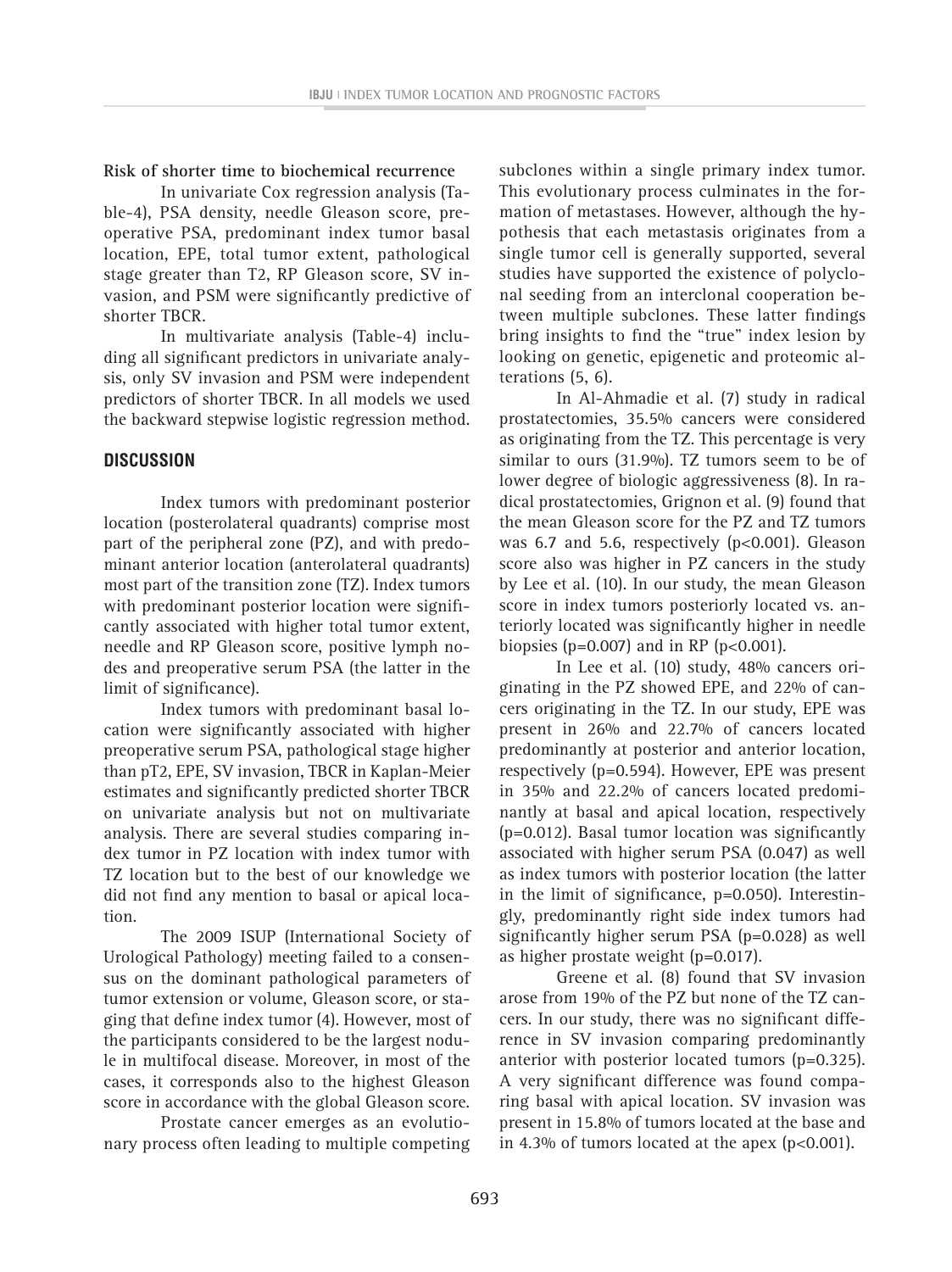**Risk of shorter time to biochemical recurrence**

In univariate Cox regression analysis (Table-4), PSA density, needle Gleason score, preoperative PSA, predominant index tumor basal location, EPE, total tumor extent, pathological stage greater than T2, RP Gleason score, SV invasion, and PSM were significantly predictive of shorter TBCR.

In multivariate analysis (Table-4) including all significant predictors in univariate analysis, only SV invasion and PSM were independent predictors of shorter TBCR. In all models we used the backward stepwise logistic regression method.

## **DISCUSSION**

Index tumors with predominant posterior location (posterolateral quadrants) comprise most part of the peripheral zone (PZ), and with predominant anterior location (anterolateral quadrants) most part of the transition zone (TZ). Index tumors with predominant posterior location were significantly associated with higher total tumor extent, needle and RP Gleason score, positive lymph nodes and preoperative serum PSA (the latter in the limit of significance).

Index tumors with predominant basal location were significantly associated with higher preoperative serum PSA, pathological stage higher than pT2, EPE, SV invasion, TBCR in Kaplan-Meier estimates and significantly predicted shorter TBCR on univariate analysis but not on multivariate analysis. There are several studies comparing index tumor in PZ location with index tumor with TZ location but to the best of our knowledge we did not find any mention to basal or apical location.

The 2009 ISUP (International Society of Urological Pathology) meeting failed to a consensus on the dominant pathological parameters of tumor extension or volume, Gleason score, or staging that define index tumor (4). However, most of the participants considered to be the largest nodule in multifocal disease. Moreover, in most of the cases, it corresponds also to the highest Gleason score in accordance with the global Gleason score.

Prostate cancer emerges as an evolutionary process often leading to multiple competing subclones within a single primary index tumor. This evolutionary process culminates in the formation of metastases. However, although the hypothesis that each metastasis originates from a single tumor cell is generally supported, several studies have supported the existence of polyclonal seeding from an interclonal cooperation between multiple subclones. These latter findings bring insights to find the "true" index lesion by looking on genetic, epigenetic and proteomic alterations (5, 6).

In Al-Ahmadie et al. (7) study in radical prostatectomies, 35.5% cancers were considered as originating from the TZ. This percentage is very similar to ours (31.9%). TZ tumors seem to be of lower degree of biologic aggressiveness (8). In radical prostatectomies, Grignon et al. (9) found that the mean Gleason score for the PZ and TZ tumors was 6.7 and 5.6, respectively  $(p<0.001)$ . Gleason score also was higher in PZ cancers in the study by Lee et al. (10). In our study, the mean Gleason score in index tumors posteriorly located vs. anteriorly located was significantly higher in needle biopsies ( $p=0.007$ ) and in RP ( $p<0.001$ ).

In Lee et al. (10) study, 48% cancers originating in the PZ showed EPE, and 22% of cancers originating in the TZ. In our study, EPE was present in 26% and 22.7% of cancers located predominantly at posterior and anterior location, respectively (p=0.594). However, EPE was present in 35% and 22.2% of cancers located predominantly at basal and apical location, respectively (p=0.012). Basal tumor location was significantly associated with higher serum PSA (0.047) as well as index tumors with posterior location (the latter in the limit of significance, p=0.050). Interestingly, predominantly right side index tumors had significantly higher serum PSA (p=0.028) as well as higher prostate weight (p=0.017).

Greene et al. (8) found that SV invasion arose from 19% of the PZ but none of the TZ cancers. In our study, there was no significant difference in SV invasion comparing predominantly anterior with posterior located tumors (p=0.325). A very significant difference was found comparing basal with apical location. SV invasion was present in 15.8% of tumors located at the base and in 4.3% of tumors located at the apex  $(p<0.001)$ .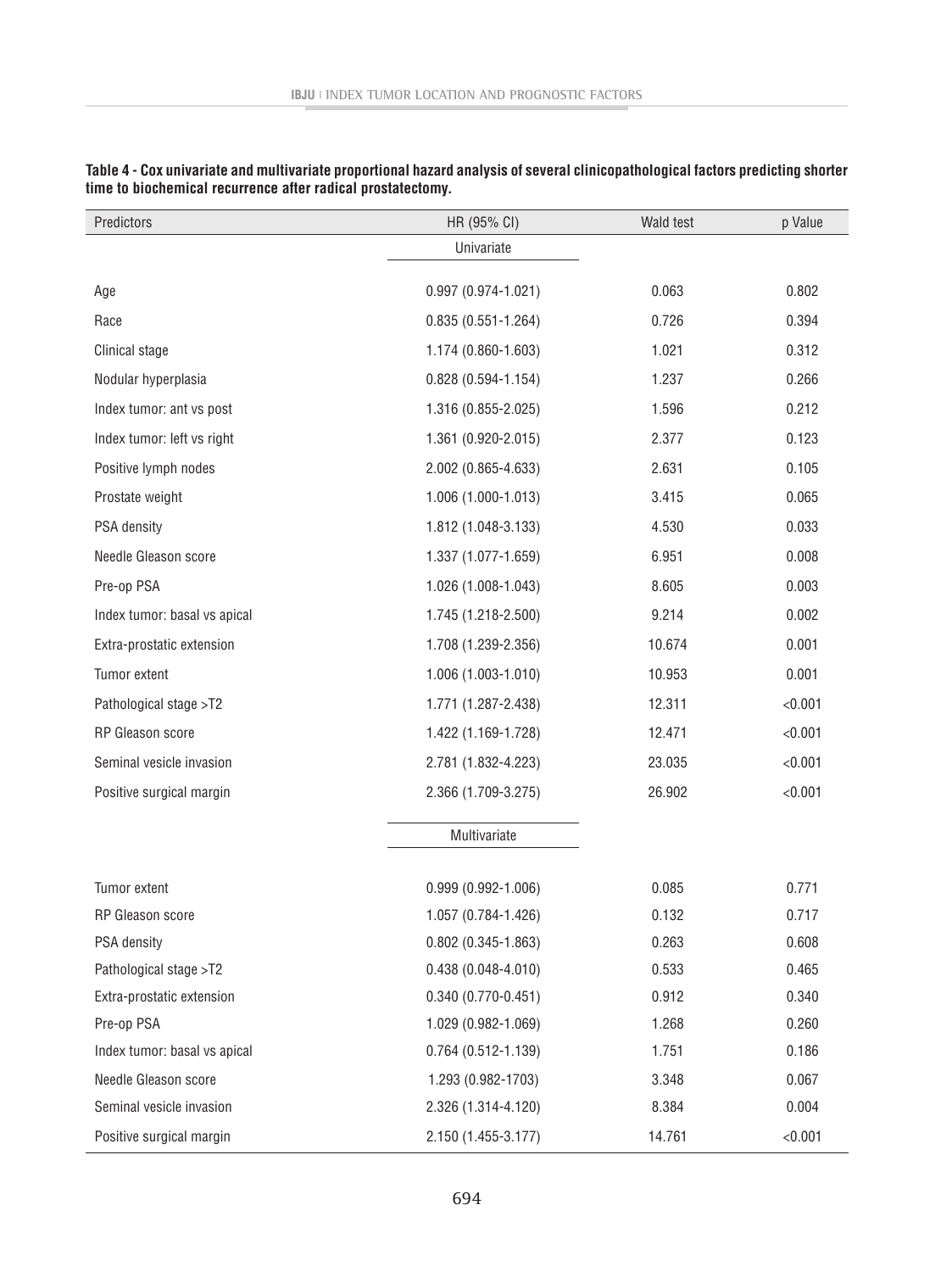| Predictors                   | HR (95% CI)            | Wald test | p Value |
|------------------------------|------------------------|-----------|---------|
|                              | Univariate             |           |         |
| Age                          | $0.997(0.974 - 1.021)$ | 0.063     | 0.802   |
| Race                         | $0.835(0.551 - 1.264)$ | 0.726     | 0.394   |
| Clinical stage               | 1.174 (0.860-1.603)    | 1.021     | 0.312   |
| Nodular hyperplasia          | $0.828(0.594 - 1.154)$ | 1.237     | 0.266   |
| Index tumor: ant vs post     | 1.316 (0.855-2.025)    | 1.596     | 0.212   |
| Index tumor: left vs right   | 1.361 (0.920-2.015)    | 2.377     | 0.123   |
| Positive lymph nodes         | 2.002 (0.865-4.633)    | 2.631     | 0.105   |
| Prostate weight              | $1.006(1.000-1.013)$   | 3.415     | 0.065   |
| PSA density                  | 1.812 (1.048-3.133)    | 4.530     | 0.033   |
| Needle Gleason score         | 1.337 (1.077-1.659)    | 6.951     | 0.008   |
| Pre-op PSA                   | 1.026 (1.008-1.043)    | 8.605     | 0.003   |
| Index tumor: basal vs apical | 1.745 (1.218-2.500)    | 9.214     | 0.002   |
| Extra-prostatic extension    | 1.708 (1.239-2.356)    | 10.674    | 0.001   |
| Tumor extent                 | 1.006 (1.003-1.010)    | 10.953    | 0.001   |
| Pathological stage >T2       | 1.771 (1.287-2.438)    | 12.311    | < 0.001 |
| RP Gleason score             | 1.422 (1.169-1.728)    | 12.471    | < 0.001 |
| Seminal vesicle invasion     | 2.781 (1.832-4.223)    | 23.035    | < 0.001 |
| Positive surgical margin     | 2.366 (1.709-3.275)    | 26.902    | < 0.001 |
|                              | Multivariate           |           |         |
| Tumor extent                 | $0.999(0.992 - 1.006)$ | 0.085     | 0.771   |
| RP Gleason score             | 1.057 (0.784-1.426)    | 0.132     | 0.717   |
| <b>PSA density</b>           | $0.802(0.345 - 1.863)$ | 0.263     | 0.608   |
| Pathological stage >T2       | $0.438(0.048 - 4.010)$ | 0.533     | 0.465   |
| Extra-prostatic extension    | $0.340(0.770-0.451)$   | 0.912     | 0.340   |
| Pre-op PSA                   | 1.029 (0.982-1.069)    | 1.268     | 0.260   |
| Index tumor: basal vs apical | $0.764(0.512 - 1.139)$ | 1.751     | 0.186   |
| Needle Gleason score         | 1.293 (0.982-1703)     | 3.348     | 0.067   |
| Seminal vesicle invasion     | 2.326 (1.314-4.120)    | 8.384     | 0.004   |
| Positive surgical margin     | 2.150 (1.455-3.177)    | 14.761    | < 0.001 |

**Table 4 - Cox univariate and multivariate proportional hazard analysis of several clinicopathological factors predicting shorter time to biochemical recurrence after radical prostatectomy.**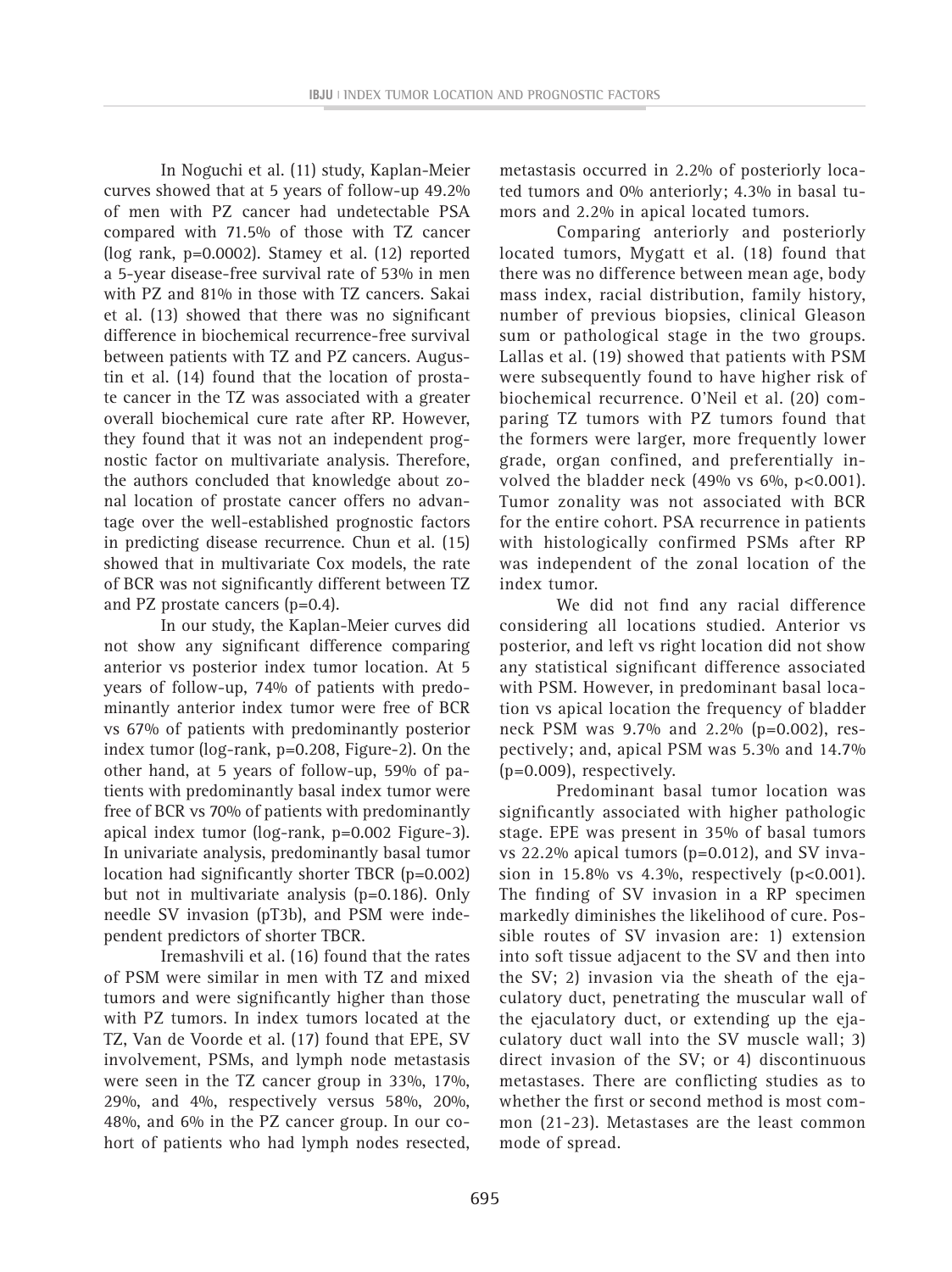In Noguchi et al. (11) study, Kaplan-Meier curves showed that at 5 years of follow-up 49.2% of men with PZ cancer had undetectable PSA compared with 71.5% of those with TZ cancer (log rank, p=0.0002). Stamey et al. (12) reported a 5-year disease-free survival rate of 53% in men with PZ and 81% in those with TZ cancers. Sakai et al. (13) showed that there was no significant difference in biochemical recurrence-free survival between patients with TZ and PZ cancers. Augustin et al. (14) found that the location of prostate cancer in the TZ was associated with a greater overall biochemical cure rate after RP. However, they found that it was not an independent prognostic factor on multivariate analysis. Therefore, the authors concluded that knowledge about zonal location of prostate cancer offers no advantage over the well-established prognostic factors in predicting disease recurrence. Chun et al. (15) showed that in multivariate Cox models, the rate of BCR was not significantly different between TZ and PZ prostate cancers (p=0.4).

In our study, the Kaplan-Meier curves did not show any significant difference comparing anterior vs posterior index tumor location. At 5 years of follow-up, 74% of patients with predominantly anterior index tumor were free of BCR vs 67% of patients with predominantly posterior index tumor (log-rank, p=0.208, Figure-2). On the other hand, at 5 years of follow-up, 59% of patients with predominantly basal index tumor were free of BCR vs 70% of patients with predominantly apical index tumor (log-rank, p=0.002 Figure-3). In univariate analysis, predominantly basal tumor location had significantly shorter TBCR (p=0.002) but not in multivariate analysis (p=0.186). Only needle SV invasion (pT3b), and PSM were independent predictors of shorter TBCR.

Iremashvili et al. (16) found that the rates of PSM were similar in men with TZ and mixed tumors and were significantly higher than those with PZ tumors. In index tumors located at the TZ, Van de Voorde et al. (17) found that EPE, SV involvement, PSMs, and lymph node metastasis were seen in the TZ cancer group in 33%, 17%, 29%, and 4%, respectively versus 58%, 20%, 48%, and 6% in the PZ cancer group. In our cohort of patients who had lymph nodes resected, metastasis occurred in 2.2% of posteriorly located tumors and 0% anteriorly; 4.3% in basal tumors and 2.2% in apical located tumors.

Comparing anteriorly and posteriorly located tumors, Mygatt et al. (18) found that there was no difference between mean age, body mass index, racial distribution, family history, number of previous biopsies, clinical Gleason sum or pathological stage in the two groups. Lallas et al. (19) showed that patients with PSM were subsequently found to have higher risk of biochemical recurrence. O'Neil et al. (20) comparing TZ tumors with PZ tumors found that the formers were larger, more frequently lower grade, organ confined, and preferentially involved the bladder neck (49% vs 6%, p<0.001). Tumor zonality was not associated with BCR for the entire cohort. PSA recurrence in patients with histologically confirmed PSMs after RP was independent of the zonal location of the index tumor.

We did not find any racial difference considering all locations studied. Anterior vs posterior, and left vs right location did not show any statistical significant difference associated with PSM. However, in predominant basal location vs apical location the frequency of bladder neck PSM was 9.7% and 2.2% (p=0.002), respectively; and, apical PSM was 5.3% and 14.7% (p=0.009), respectively.

Predominant basal tumor location was significantly associated with higher pathologic stage. EPE was present in 35% of basal tumors vs 22.2% apical tumors (p=0.012), and SV invasion in  $15.8\%$  vs  $4.3\%$ , respectively (p<0.001). The finding of SV invasion in a RP specimen markedly diminishes the likelihood of cure. Possible routes of SV invasion are: 1) extension into soft tissue adjacent to the SV and then into the SV; 2) invasion via the sheath of the ejaculatory duct, penetrating the muscular wall of the ejaculatory duct, or extending up the ejaculatory duct wall into the SV muscle wall; 3) direct invasion of the SV; or 4) discontinuous metastases. There are conflicting studies as to whether the first or second method is most common (21-23). Metastases are the least common mode of spread.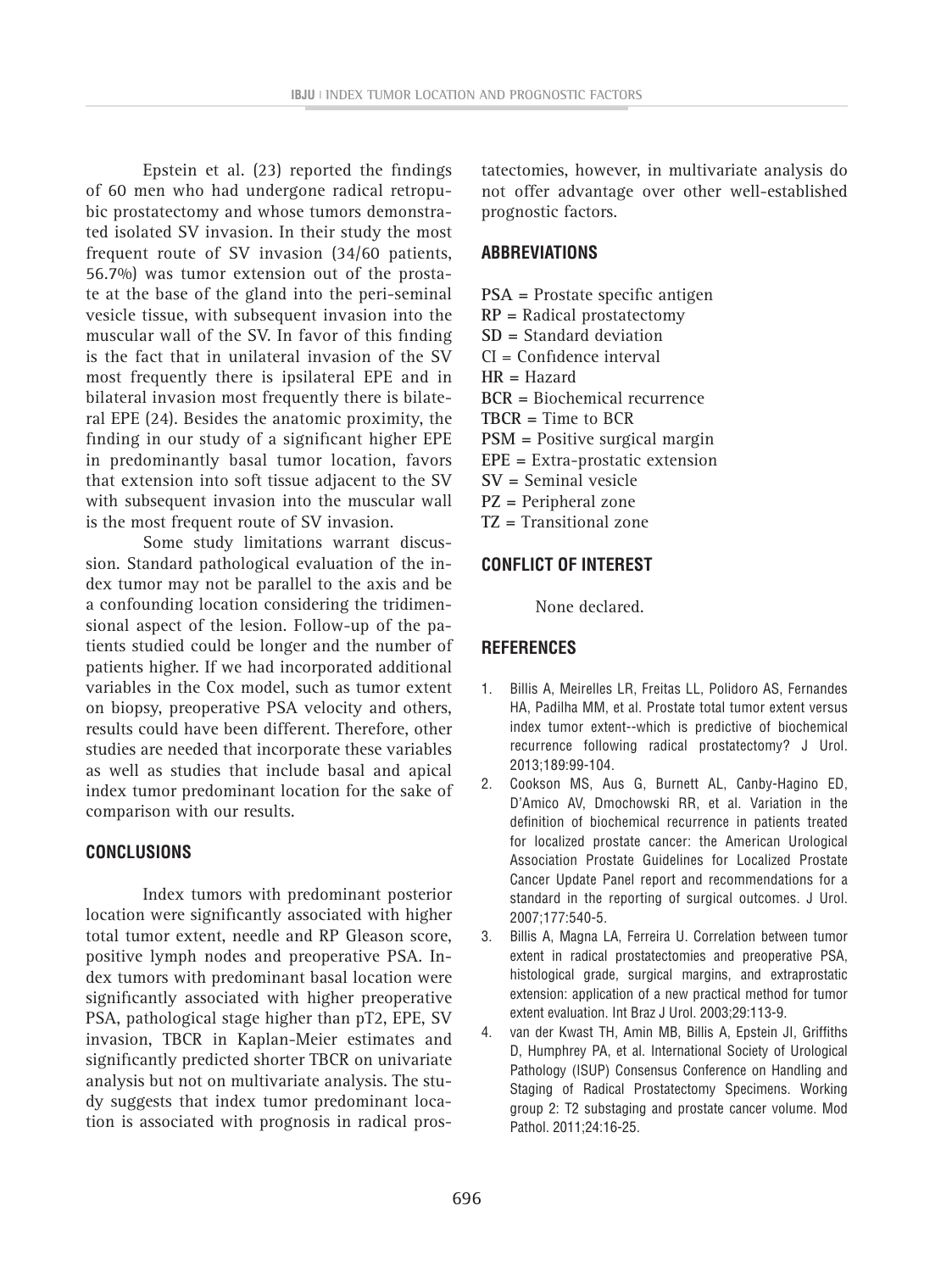Epstein et al. (23) reported the findings of 60 men who had undergone radical retropubic prostatectomy and whose tumors demonstrated isolated SV invasion. In their study the most frequent route of SV invasion (34/60 patients, 56.7%) was tumor extension out of the prostate at the base of the gland into the peri-seminal vesicle tissue, with subsequent invasion into the muscular wall of the SV. In favor of this finding is the fact that in unilateral invasion of the SV most frequently there is ipsilateral EPE and in bilateral invasion most frequently there is bilateral EPE (24). Besides the anatomic proximity, the finding in our study of a significant higher EPE in predominantly basal tumor location, favors that extension into soft tissue adjacent to the SV with subsequent invasion into the muscular wall is the most frequent route of SV invasion.

Some study limitations warrant discussion. Standard pathological evaluation of the index tumor may not be parallel to the axis and be a confounding location considering the tridimensional aspect of the lesion. Follow-up of the patients studied could be longer and the number of patients higher. If we had incorporated additional variables in the Cox model, such as tumor extent on biopsy, preoperative PSA velocity and others, results could have been different. Therefore, other studies are needed that incorporate these variables as well as studies that include basal and apical index tumor predominant location for the sake of comparison with our results.

### **CONCLUSIONS**

Index tumors with predominant posterior location were significantly associated with higher total tumor extent, needle and RP Gleason score, positive lymph nodes and preoperative PSA. Index tumors with predominant basal location were significantly associated with higher preoperative PSA, pathological stage higher than pT2, EPE, SV invasion, TBCR in Kaplan-Meier estimates and significantly predicted shorter TBCR on univariate analysis but not on multivariate analysis. The study suggests that index tumor predominant location is associated with prognosis in radical pros-

tatectomies, however, in multivariate analysis do not offer advantage over other well-established prognostic factors.

## **ABBREVIATIONS**

- **PSA =** Prostate specific antigen **RP =** Radical prostatectomy **SD =** Standard deviation CI = Confidence interval **HR =** Hazard **BCR =** Biochemical recurrence **TBCR =** Time to BCR **PSM =** Positive surgical margin **EPE =** Extra-prostatic extension **SV =** Seminal vesicle **PZ =** Peripheral zone
- **TZ =** Transitional zone

## **CONFLICT OF INTEREST**

None declared.

## **REFERENCES**

- 1. Billis A, Meirelles LR, Freitas LL, Polidoro AS, Fernandes HA, Padilha MM, et al. Prostate total tumor extent versus index tumor extent--which is predictive of biochemical recurrence following radical prostatectomy? J Urol. 2013;189:99-104.
- 2. Cookson MS, Aus G, Burnett AL, Canby-Hagino ED, D'Amico AV, Dmochowski RR, et al. Variation in the definition of biochemical recurrence in patients treated for localized prostate cancer: the American Urological Association Prostate Guidelines for Localized Prostate Cancer Update Panel report and recommendations for a standard in the reporting of surgical outcomes. J Urol. 2007;177:540-5.
- 3. Billis A, Magna LA, Ferreira U. Correlation between tumor extent in radical prostatectomies and preoperative PSA, histological grade, surgical margins, and extraprostatic extension: application of a new practical method for tumor extent evaluation. Int Braz J Urol. 2003;29:113-9.
- 4. van der Kwast TH, Amin MB, Billis A, Epstein JI, Griffiths D, Humphrey PA, et al. International Society of Urological Pathology (ISUP) Consensus Conference on Handling and Staging of Radical Prostatectomy Specimens. Working group 2: T2 substaging and prostate cancer volume. Mod Pathol. 2011;24:16-25.